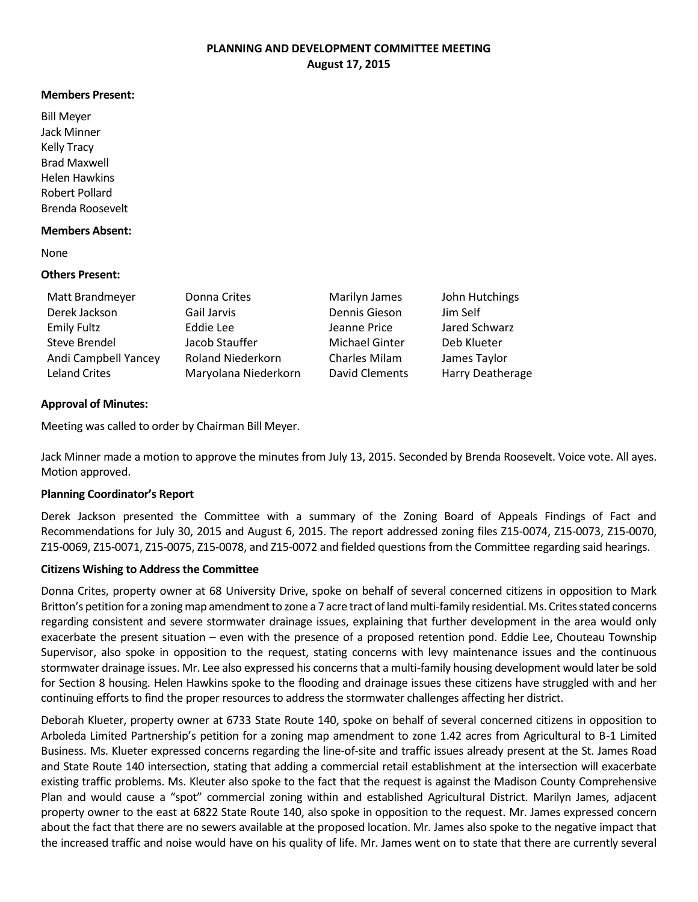### **PLANNING AND DEVELOPMENT COMMITTEE MEETING August 17, 2015**

#### **Members Present:**

Bill Meyer Jack Minner Kelly Tracy Brad Maxwell Helen Hawkins Robert Pollard Brenda Roosevelt

#### **Members Absent:**

None

## **Others Present:**

| Matt Brandmeyer      | Donna Crites             | Marilyn James         | John Hutchings   |
|----------------------|--------------------------|-----------------------|------------------|
| Derek Jackson        | Gail Jarvis              | Dennis Gieson         | Jim Self         |
| <b>Emily Fultz</b>   | Eddie Lee                | Jeanne Price          | Jared Schwarz    |
| Steve Brendel        | Jacob Stauffer           | Michael Ginter        | Deb Klueter      |
| Andi Campbell Yancey | <b>Roland Niederkorn</b> | <b>Charles Milam</b>  | James Taylor     |
| <b>Leland Crites</b> | Maryolana Niederkorn     | <b>David Clements</b> | Harry Deatherage |

## **Approval of Minutes:**

Meeting was called to order by Chairman Bill Meyer.

Jack Minner made a motion to approve the minutes from July 13, 2015. Seconded by Brenda Roosevelt. Voice vote. All ayes. Motion approved.

### **Planning Coordinator's Report**

Derek Jackson presented the Committee with a summary of the Zoning Board of Appeals Findings of Fact and Recommendations for July 30, 2015 and August 6, 2015. The report addressed zoning files Z15-0074, Z15-0073, Z15-0070, Z15-0069, Z15-0071, Z15-0075, Z15-0078, and Z15-0072 and fielded questions from the Committee regarding said hearings.

### **Citizens Wishing to Address the Committee**

Donna Crites, property owner at 68 University Drive, spoke on behalf of several concerned citizens in opposition to Mark Britton's petition for a zoning map amendment to zone a 7 acre tract of landmulti-family residential. Ms. Crites stated concerns regarding consistent and severe stormwater drainage issues, explaining that further development in the area would only exacerbate the present situation – even with the presence of a proposed retention pond. Eddie Lee, Chouteau Township Supervisor, also spoke in opposition to the request, stating concerns with levy maintenance issues and the continuous stormwater drainage issues. Mr. Lee also expressed his concerns that a multi-family housing development would later be sold for Section 8 housing. Helen Hawkins spoke to the flooding and drainage issues these citizens have struggled with and her continuing efforts to find the proper resources to address the stormwater challenges affecting her district.

Deborah Klueter, property owner at 6733 State Route 140, spoke on behalf of several concerned citizens in opposition to Arboleda Limited Partnership's petition for a zoning map amendment to zone 1.42 acres from Agricultural to B-1 Limited Business. Ms. Klueter expressed concerns regarding the line-of-site and traffic issues already present at the St. James Road and State Route 140 intersection, stating that adding a commercial retail establishment at the intersection will exacerbate existing traffic problems. Ms. Kleuter also spoke to the fact that the request is against the Madison County Comprehensive Plan and would cause a "spot" commercial zoning within and established Agricultural District. Marilyn James, adjacent property owner to the east at 6822 State Route 140, also spoke in opposition to the request. Mr. James expressed concern about the fact that there are no sewers available at the proposed location. Mr. James also spoke to the negative impact that the increased traffic and noise would have on his quality of life. Mr. James went on to state that there are currently several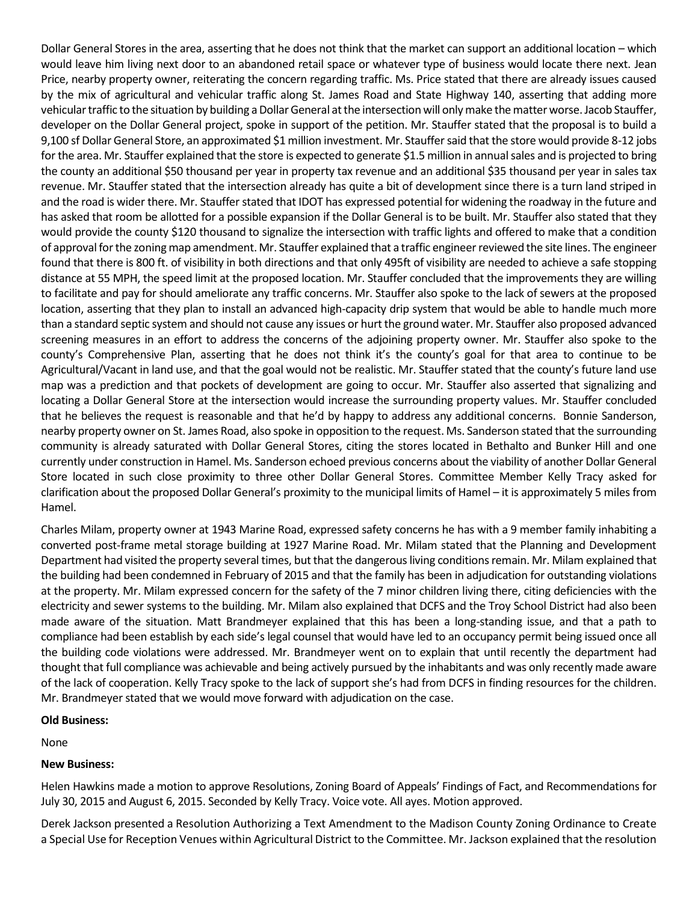Dollar General Stores in the area, asserting that he does not think that the market can support an additional location – which would leave him living next door to an abandoned retail space or whatever type of business would locate there next. Jean Price, nearby property owner, reiterating the concern regarding traffic. Ms. Price stated that there are already issues caused by the mix of agricultural and vehicular traffic along St. James Road and State Highway 140, asserting that adding more vehicular traffic to the situation by building a Dollar General at the intersectionwill only make the matter worse. Jacob Stauffer, developer on the Dollar General project, spoke in support of the petition. Mr. Stauffer stated that the proposal is to build a 9,100 sf Dollar General Store, an approximated \$1 million investment. Mr. Stauffer said that the store would provide 8-12 jobs for the area. Mr. Stauffer explained that the store is expected to generate \$1.5 million in annual sales and is projected to bring the county an additional \$50 thousand per year in property tax revenue and an additional \$35 thousand per year in sales tax revenue. Mr. Stauffer stated that the intersection already has quite a bit of development since there is a turn land striped in and the road is wider there. Mr. Stauffer stated that IDOT has expressed potential for widening the roadway in the future and has asked that room be allotted for a possible expansion if the Dollar General is to be built. Mr. Stauffer also stated that they would provide the county \$120 thousand to signalize the intersection with traffic lights and offered to make that a condition of approval for the zoning map amendment. Mr. Stauffer explained that a traffic engineerreviewed the site lines. The engineer found that there is 800 ft. of visibility in both directions and that only 495ft of visibility are needed to achieve a safe stopping distance at 55 MPH, the speed limit at the proposed location. Mr. Stauffer concluded that the improvements they are willing to facilitate and pay for should ameliorate any traffic concerns. Mr. Stauffer also spoke to the lack of sewers at the proposed location, asserting that they plan to install an advanced high-capacity drip system that would be able to handle much more than a standard septic system and should not cause any issues or hurt the ground water. Mr. Stauffer also proposed advanced screening measures in an effort to address the concerns of the adjoining property owner. Mr. Stauffer also spoke to the county's Comprehensive Plan, asserting that he does not think it's the county's goal for that area to continue to be Agricultural/Vacant in land use, and that the goal would not be realistic. Mr. Stauffer stated that the county's future land use map was a prediction and that pockets of development are going to occur. Mr. Stauffer also asserted that signalizing and locating a Dollar General Store at the intersection would increase the surrounding property values. Mr. Stauffer concluded that he believes the request is reasonable and that he'd by happy to address any additional concerns. Bonnie Sanderson, nearby property owner on St. James Road, also spoke in opposition to the request. Ms. Sanderson stated that the surrounding community is already saturated with Dollar General Stores, citing the stores located in Bethalto and Bunker Hill and one currently under construction in Hamel. Ms. Sanderson echoed previous concerns about the viability of another Dollar General Store located in such close proximity to three other Dollar General Stores. Committee Member Kelly Tracy asked for clarification about the proposed Dollar General's proximity to the municipal limits of Hamel – it is approximately 5 miles from Hamel.

Charles Milam, property owner at 1943 Marine Road, expressed safety concerns he has with a 9 member family inhabiting a converted post-frame metal storage building at 1927 Marine Road. Mr. Milam stated that the Planning and Development Department had visited the property several times, but that the dangerous living conditions remain. Mr. Milam explained that the building had been condemned in February of 2015 and that the family has been in adjudication for outstanding violations at the property. Mr. Milam expressed concern for the safety of the 7 minor children living there, citing deficiencies with the electricity and sewer systems to the building. Mr. Milam also explained that DCFS and the Troy School District had also been made aware of the situation. Matt Brandmeyer explained that this has been a long-standing issue, and that a path to compliance had been establish by each side's legal counsel that would have led to an occupancy permit being issued once all the building code violations were addressed. Mr. Brandmeyer went on to explain that until recently the department had thought that full compliance was achievable and being actively pursued by the inhabitants and was only recently made aware of the lack of cooperation. Kelly Tracy spoke to the lack of support she's had from DCFS in finding resources for the children. Mr. Brandmeyer stated that we would move forward with adjudication on the case.

### **Old Business:**

None

# **New Business:**

Helen Hawkins made a motion to approve Resolutions, Zoning Board of Appeals' Findings of Fact, and Recommendations for July 30, 2015 and August 6, 2015. Seconded by Kelly Tracy. Voice vote. All ayes. Motion approved.

Derek Jackson presented a Resolution Authorizing a Text Amendment to the Madison County Zoning Ordinance to Create a Special Use for Reception Venues within Agricultural District to the Committee. Mr. Jackson explained that the resolution